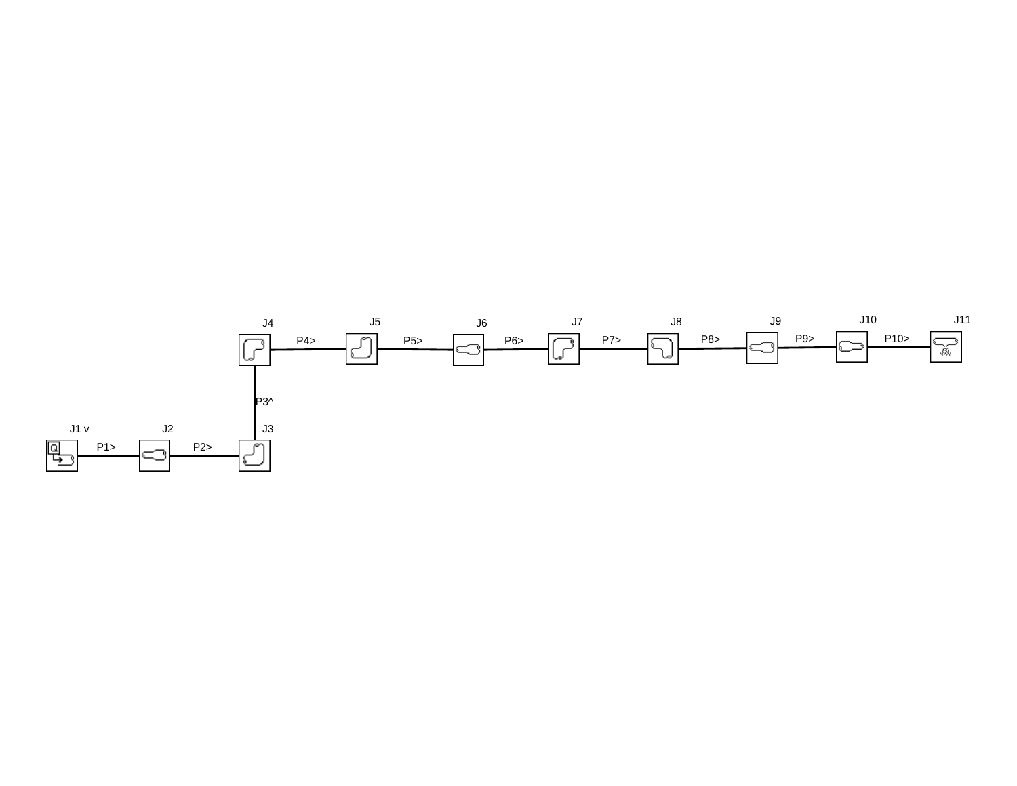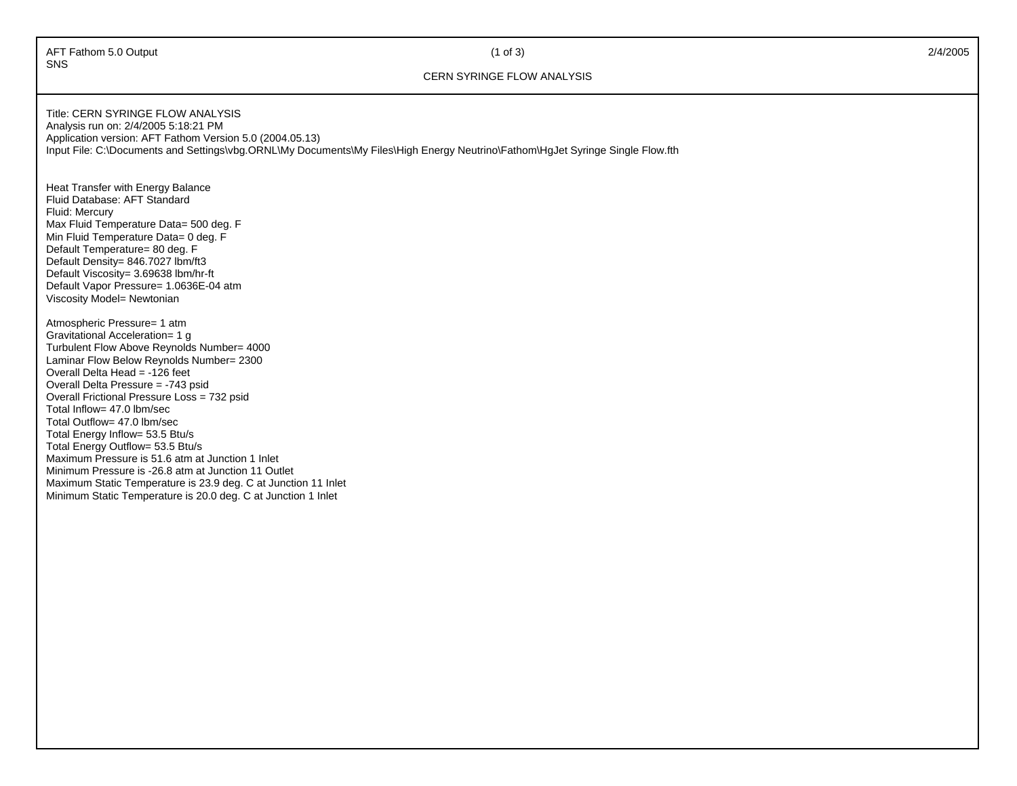AFT Fathom 5.0 Output 2/4/2005 2012 2012 2013 2014 SNS

## (1 of 3)

## CERN SYRINGE FLOW ANALYSIS

Title: CERN SYRINGE FLOW ANALYSISAnalysis run on: 2/4/2005 5:18:21 PM Application version: AFT Fathom Version 5.0 (2004.05.13) Input File: C:\Documents and Settings\vbg.ORNL\My Documents\My Files\High Energy Neutrino\Fathom\HgJet Syringe Single Flow.fth

Heat Transfer with Energy Balance Fluid Database: AFT Standard Fluid: Mercury Max Fluid Temperature Data= 500 deg. F Min Fluid Temperature Data= 0 deg. F Default Temperature= 80 deg. F Default Density= 846.7027 lbm/ft3 Default Viscosity= 3.69638 lbm/hr-ft Default Vapor Pressure= 1.0636E-04 atm Viscosity Model= Newtonian

Atmospheric Pressure= 1 atm Gravitational Acceleration= 1 g Turbulent Flow Above Reynolds Number= 4000 Laminar Flow Below Reynolds Number= 2300 Overall Delta Head = -126 feet Overall Delta Pressure = -743 psid Overall Frictional Pressure Loss = 732 psid Total Inflow= 47.0 lbm/sec Total Outflow= 47.0 lbm/sec Total Energy Inflow= 53.5 Btu/s Total Energy Outflow= 53.5 Btu/s Maximum Pressure is 51.6 atm at Junction 1 Inlet Minimum Pressure is -26.8 atm at Junction 11 Outlet Maximum Static Temperature is 23.9 deg. C at Junction 11 Inlet Minimum Static Temperature is 20.0 deg. C at Junction 1 Inlet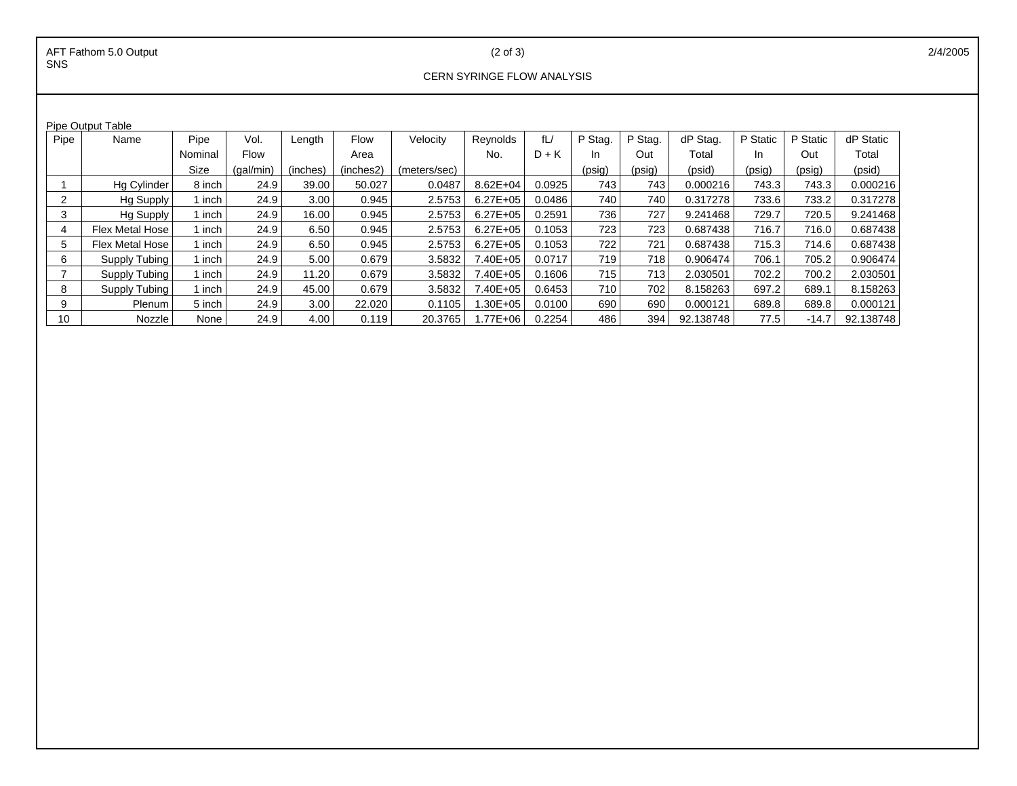(2 of 3)

## CERN SYRINGE FLOW ANALYSIS

| <b>Pipe Output Table</b> |                        |         |             |          |           |              |              |         |         |         |           |          |          |           |
|--------------------------|------------------------|---------|-------------|----------|-----------|--------------|--------------|---------|---------|---------|-----------|----------|----------|-----------|
| Pipe                     | Name                   | Pipe    | Vol.        | Length   | Flow      | Velocity     | Reynolds     | fL/     | P Stag. | P Stag. | dP Stag.  | P Static | P Static | dP Static |
|                          |                        | Nominal | <b>Flow</b> |          | Area      |              | No.          | $D + K$ | In.     | Out     | Total     | In.      | Out      | Total     |
|                          |                        | Size    | (qal/min)   | (inches) | (inches2) | (meters/sec) |              |         | (psig)  | (psig)  | (psid)    | (psig)   | (psig)   | (psid)    |
|                          | Hg Cylinder            | 8 inch  | 24.9        | 39.00    | 50.027    | 0.0487       | 8.62E+04     | 0.0925  | 743     | 743     | 0.000216  | 743.3    | 743.3    | 0.000216  |
| 2                        | Hg Supply              | ∣ inch  | 24.9        | 3.00     | 0.945     | 2.5753       | $6.27E + 05$ | 0.0486  | 740     | 740     | 0.317278  | 733.6    | 733.2    | 0.317278  |
| 3                        | <b>Hg Supply</b>       | 1 inch  | 24.9        | 16.00    | 0.945     | 2.5753       | $6.27E + 05$ | 0.2591  | 736     | 727     | 9.241468  | 729.7    | 720.5    | 9.241468  |
| 4                        | <b>Flex Metal Hose</b> | 1 inch  | 24.9        | 6.50     | 0.945     | 2.5753       | $6.27E + 05$ | 0.1053  | 723     | 723     | 0.687438  | 716.7    | 716.0    | 0.687438  |
| 5                        | <b>Flex Metal Hose</b> | l inch  | 24.9        | 6.50     | 0.945     | 2.5753       | $6.27E + 05$ | 0.1053  | 722     | 721     | 0.687438  | 715.3    | 714.6    | 0.687438  |
| 6                        | Supply Tubing          | 1 inch  | 24.9        | 5.00     | 0.679     | 3.5832       | 7.40E+05     | 0.0717  | 719     | 718     | 0.906474  | 706.1    | 705.2    | 0.906474  |
|                          | Supply Tubing          | 1 inch  | 24.9        | 11.20    | 0.679     | 3.5832       | 7.40E+05     | 0.1606  | 715     | 713     | 2.030501  | 702.2    | 700.2    | 2.030501  |
| 8                        | Supply Tubing          | 1 inch  | 24.9        | 45.00    | 0.679     | 3.5832       | 7.40E+05     | 0.6453  | 710     | 702     | 8.158263  | 697.2    | 689.1    | 8.158263  |
| 9                        | Plenum                 | 5 inch  | 24.9        | 3.00     | 22.020    | 0.1105       | $.30E + 05$  | 0.0100  | 690     | 690     | 0.000121  | 689.8    | 689.8    | 0.000121  |
| 10                       | Nozzle                 | None    | 24.9        | 4.00     | 0.119     | 20.3765      | .77E+06      | 0.2254  | 486     | 394     | 92.138748 | 77.5     | $-14.7$  | 92.138748 |